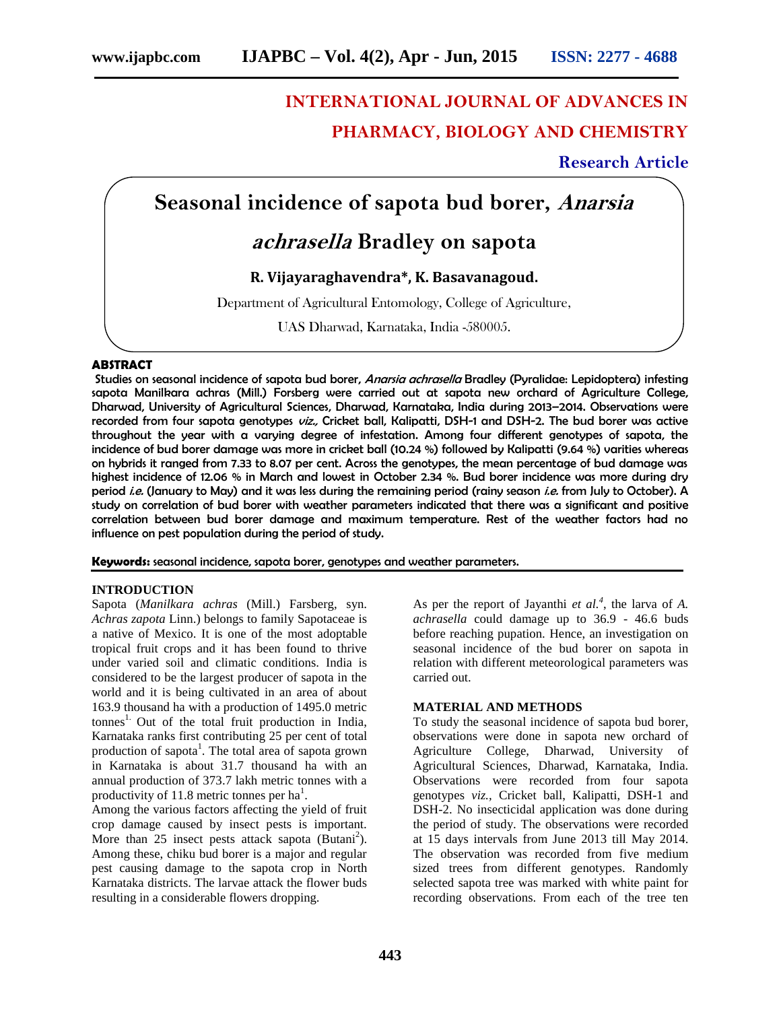# **INTERNATIONAL JOURNAL OF ADVANCES IN PHARMACY, BIOLOGY AND CHEMISTRY**

### **Research Article**

## **Seasonal incidence of sapota bud borer,** *Anarsia*

### *achrasella* **Bradley on sapota**

#### **R. Vijayaraghavendra\*, K. Basavanagoud.**

Department of Agricultural Entomology, College of Agriculture,

UAS Dharwad, Karnataka, India -580005.

#### **ABSTRACT**

Studies on seasonal incidence of sapota bud borer, *Anarsia achrasella* Bradley (Pyralidae: Lepidoptera) infesting sapota Manilkara achras (Mill.) Forsberg were carried out at sapota new orchard of Agriculture College, Dharwad, University of Agricultural Sciences, Dharwad, Karnataka, India during 2013–2014. Observations were recorded from four sapota genotypes *viz.,* Cricket ball, Kalipatti, DSH-1 and DSH-2. The bud borer was active throughout the year with a varying degree of infestation. Among four different genotypes of sapota, the incidence of bud borer damage was more in cricket ball (10.24 %) followed by Kalipatti (9.64 %) varities whereas on hybrids it ranged from 7.33 to 8.07 per cent. Across the genotypes, the mean percentage of bud damage was highest incidence of 12.06 % in March and lowest in October 2.34 %. Bud borer incidence was more during dry period *i.e.* (January to May) and it was less during the remaining period (rainy season *i.e.* from July to October). A study on correlation of bud borer with weather parameters indicated that there was a significant and positive correlation between bud borer damage and maximum temperature. Rest of the weather factors had no influence on pest population during the period of study.

**Keywords:** seasonal incidence, sapota borer, genotypes and weather parameters.

#### **INTRODUCTION**

Sapota (*Manilkara achras* (Mill.) Farsberg, syn. *Achras zapota* Linn.) belongs to family Sapotaceae is a native of Mexico. It is one of the most adoptable tropical fruit crops and it has been found to thrive under varied soil and climatic conditions. India is considered to be the largest producer of sapota in the world and it is being cultivated in an area of about 163.9 thousand ha with a production of 1495.0 metric  $t$ onnes<sup>1.</sup> Out of the total fruit production in India, Karnataka ranks first contributing 25 per cent of total production of sapota<sup>1</sup>. The total area of sapota grown in Karnataka is about 31.7 thousand ha with an annual production of 373.7 lakh metric tonnes with a productivity of 11.8 metric tonnes per  $ha^1$ .

Among the various factors affecting the yield of fruit crop damage caused by insect pests is important. More than 25 insect pests attack sapota (Butani<sup>2</sup>). Among these, chiku bud borer is a major and regular pest causing damage to the sapota crop in North Karnataka districts. The larvae attack the flower buds resulting in a considerable flowers dropping.

As per the report of Jayanthi *et al.<sup>4</sup>* , the larva of *A. achrasella* could damage up to 36.9 - 46.6 buds before reaching pupation. Hence, an investigation on seasonal incidence of the bud borer on sapota in relation with different meteorological parameters was carried out.

#### **MATERIAL AND METHODS**

To study the seasonal incidence of sapota bud borer, observations were done in sapota new orchard of Agriculture College, Dharwad, University of Agricultural Sciences, Dharwad, Karnataka, India. Observations were recorded from four sapota genotypes *viz.,* Cricket ball, Kalipatti, DSH-1 and DSH-2. No insecticidal application was done during the period of study. The observations were recorded at 15 days intervals from June 2013 till May 2014. The observation was recorded from five medium sized trees from different genotypes. Randomly selected sapota tree was marked with white paint for recording observations. From each of the tree ten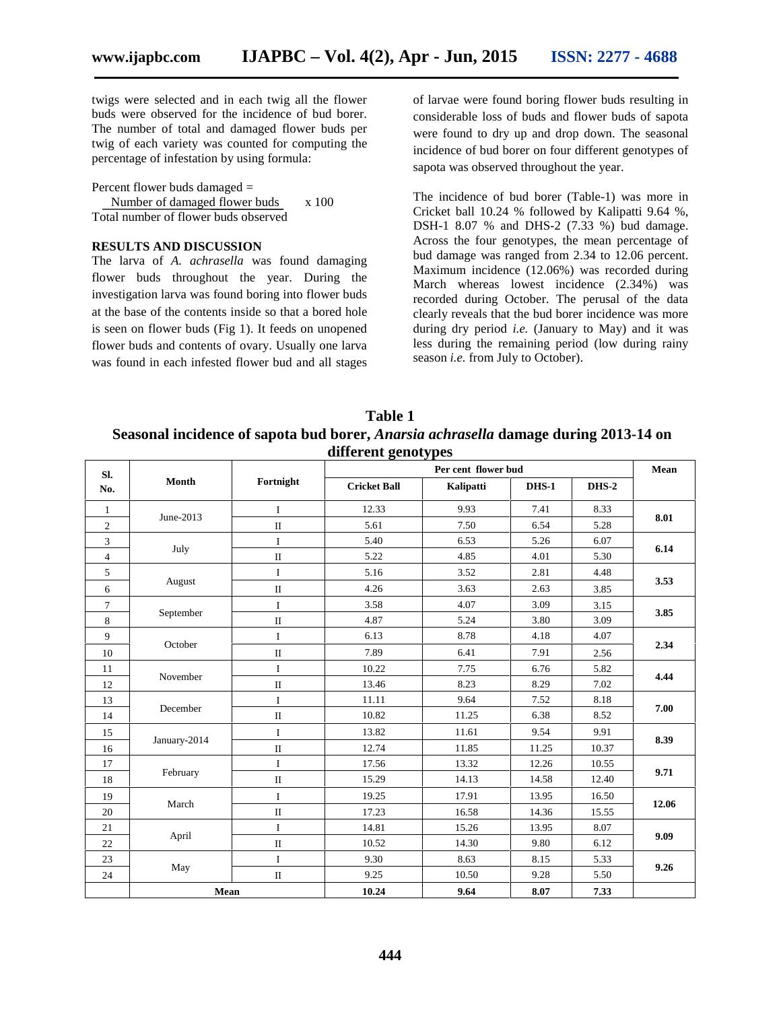twigs were selected and in each twig all the flower buds were observed for the incidence of bud borer. The number of total and damaged flower buds per twig of each variety was counted for computing the percentage of infestation by using formula:

Percent flower buds damaged =

Number of damaged flower buds x 100 Total number of flower buds observed

#### **RESULTS AND DISCUSSION**

The larva of *A. achrasella* was found damaging flower buds throughout the year. During the investigation larva was found boring into flower buds at the base of the contents inside so that a bored hole is seen on flower buds (Fig 1). It feeds on unopened flower buds and contents of ovary. Usually one larva was found in each infested flower bud and all stages

of larvae were found boring flower buds resulting in considerable loss of buds and flower buds of sapota were found to dry up and drop down. The seasonal incidence of bud borer on four different genotypes of sapota was observed throughout the year.

The incidence of bud borer (Table-1) was more in Cricket ball 10.24 % followed by Kalipatti 9.64 %, DSH-1 8.07 % and DHS-2 (7.33 %) bud damage. Across the four genotypes, the mean percentage of bud damage was ranged from 2.34 to 12.06 percent. Maximum incidence (12.06%) was recorded during March whereas lowest incidence (2.34%) was recorded during October. The perusal of the data clearly reveals that the bud borer incidence was more during dry period *i.e.* (January to May) and it was less during the remaining period (low during rainy season *i.e.* from July to October).

**Table 1 Seasonal incidence of sapota bud borer,** *Anarsia achrasella* **damage during 2013-14 on different genotypes**

| SI.<br>No.     | Month        | Fortnight    | Per cent flower bud |           |              |       | Mean  |
|----------------|--------------|--------------|---------------------|-----------|--------------|-------|-------|
|                |              |              | <b>Cricket Ball</b> | Kalipatti | <b>DHS-1</b> | DHS-2 |       |
| $\mathbf{1}$   | June-2013    | $\mathbf I$  | 12.33               | 9.93      | 7.41         | 8.33  | 8.01  |
| $\mathbf{2}$   |              | $\mathbf{I}$ | 5.61                | 7.50      | 6.54         | 5.28  |       |
| $\overline{3}$ | July         | $\mathbf I$  | 5.40                | 6.53      | 5.26         | 6.07  | 6.14  |
| $\overline{4}$ |              | $\rm II$     | 5.22                | 4.85      | 4.01         | 5.30  |       |
| 5              | August       | $\bf I$      | 5.16                | 3.52      | 2.81         | 4.48  | 3.53  |
| 6              |              | $\rm II$     | 4.26                | 3.63      | 2.63         | 3.85  |       |
| $\tau$         | September    | $\bf I$      | 3.58                | 4.07      | 3.09         | 3.15  | 3.85  |
| $\,8\,$        |              | $\rm II$     | 4.87                | 5.24      | 3.80         | 3.09  |       |
| 9              | October      | $\mathbf I$  | 6.13                | 8.78      | 4.18         | 4.07  | 2.34  |
| 10             |              | $\rm II$     | 7.89                | 6.41      | 7.91         | 2.56  |       |
| 11             | November     | $\mathbf I$  | 10.22               | 7.75      | 6.76         | 5.82  | 4.44  |
| 12             |              | $\rm II$     | 13.46               | 8.23      | 8.29         | 7.02  |       |
| 13             | December     | $\mathbf I$  | 11.11               | 9.64      | 7.52         | 8.18  | 7.00  |
| 14             |              | $\rm II$     | 10.82               | 11.25     | 6.38         | 8.52  |       |
| 15             | January-2014 | $\mathbf{I}$ | 13.82               | 11.61     | 9.54         | 9.91  | 8.39  |
| 16             |              | $\rm II$     | 12.74               | 11.85     | 11.25        | 10.37 |       |
| 17             |              | $\mathbf I$  | 17.56               | 13.32     | 12.26        | 10.55 | 9.71  |
| 18             | February     | $\rm II$     | 15.29               | 14.13     | 14.58        | 12.40 |       |
| 19             | March        | $\mathbf I$  | 19.25               | 17.91     | 13.95        | 16.50 | 12.06 |
| 20             |              | $\rm II$     | 17.23               | 16.58     | 14.36        | 15.55 |       |
| 21             |              | $\mathbf I$  | 14.81               | 15.26     | 13.95        | 8.07  | 9.09  |
| $22\,$         | April        | $\rm II$     | 10.52               | 14.30     | 9.80         | 6.12  |       |
| $23\,$         |              | $\mathbf I$  | 9.30                | 8.63      | 8.15         | 5.33  | 9.26  |
| 24             | May          | $\rm II$     | 9.25                | 10.50     | 9.28         | 5.50  |       |
|                | Mean         |              | 10.24               | 9.64      | 8.07         | 7.33  |       |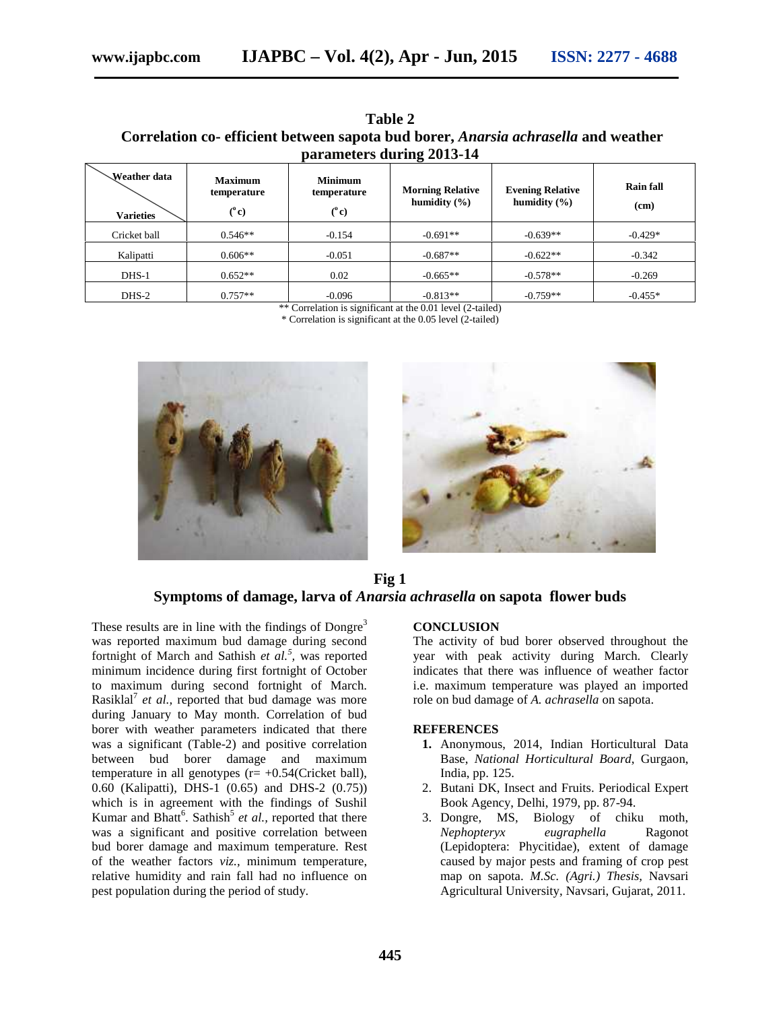| * * * * * * *<br>Correlation co-efficient between sapota bud borer, <i>Anarsia achrasella</i> and weather<br>parameters during 2013-14 |                                                |                                               |                                                     |                                             |                   |  |  |  |  |  |  |  |
|----------------------------------------------------------------------------------------------------------------------------------------|------------------------------------------------|-----------------------------------------------|-----------------------------------------------------|---------------------------------------------|-------------------|--|--|--|--|--|--|--|
| Weather data<br><b>Varieties</b>                                                                                                       | <b>Maximum</b><br>temperature<br>$(^{\circ}c)$ | <b>Minimum</b><br>temperature<br>$(^\circ c)$ | <b>Morning Relative</b><br>humidity $(\frac{6}{6})$ | <b>Evening Relative</b><br>humidity $(\% )$ | Rain fall<br>(cm) |  |  |  |  |  |  |  |
| Cricket ball                                                                                                                           | $0.546**$                                      | $-0.154$                                      | $-0.691**$                                          | $-0.639**$                                  | $-0.429*$         |  |  |  |  |  |  |  |

**Table 2**

DHS-2  $\vert$  0.757\*\*  $\vert$  -0.096  $\vert$  -0.813\*\*  $\vert$  -0.759\*\*  $\vert$  -0.455\*  $\vert$ \*\* Correlation is significant at the 0.01 level (2-tailed)

Kalipatti |  $0.606**$  -0.051 -0.687\*\* | -0.622\*\* | -0.342 DHS-1  $0.652**$   $0.02$   $0.665**$   $0.578**$   $0.269$ 

\* Correlation is significant at the 0.05 level (2-tailed)



**Fig 1 Symptoms of damage, larva of** *Anarsia achrasella* **on sapota flower buds**

These results are in line with the findings of  $Dongre<sup>3</sup>$ was reported maximum bud damage during second fortnight of March and Sathish *et al.<sup>5</sup> ,* was reported minimum incidence during first fortnight of October to maximum during second fortnight of March. Rasiklal<sup>'</sup> *et al.*, reported that bud damage was more during January to May month. Correlation of bud borer with weather parameters indicated that there was a significant (Table-2) and positive correlation between bud borer damage and maximum temperature in all genotypes  $(r= +0.54$ (Cricket ball), 0.60 (Kalipatti), DHS-1 (0.65) and DHS-2 (0.75)) which is in agreement with the findings of Sushil Kumar and Bhatt<sup>6</sup>. Sathish<sup>5</sup> et al., reported that there was a significant and positive correlation between bud borer damage and maximum temperature. Rest of the weather factors *viz.,* minimum temperature, relative humidity and rain fall had no influence on pest population during the period of study.

#### **CONCLUSION**

The activity of bud borer observed throughout the year with peak activity during March. Clearly indicates that there was influence of weather factor i.e. maximum temperature was played an imported role on bud damage of *A. achrasella* on sapota.

#### **REFERENCES**

- **1.** Anonymous, 2014, Indian Horticultural Data Base, *National Horticultural Board*, Gurgaon, India, pp. 125.
- 2. Butani DK, Insect and Fruits. Periodical Expert Book Agency, Delhi, 1979, pp. 87-94.
- 3. Dongre, MS, Biology of chiku moth, *Nephopteryx eugraphella* Ragonot (Lepidoptera: Phycitidae), extent of damage caused by major pests and framing of crop pest map on sapota. *M.Sc. (Agri.) Thesis,* Navsari Agricultural University, Navsari, Gujarat, 2011.